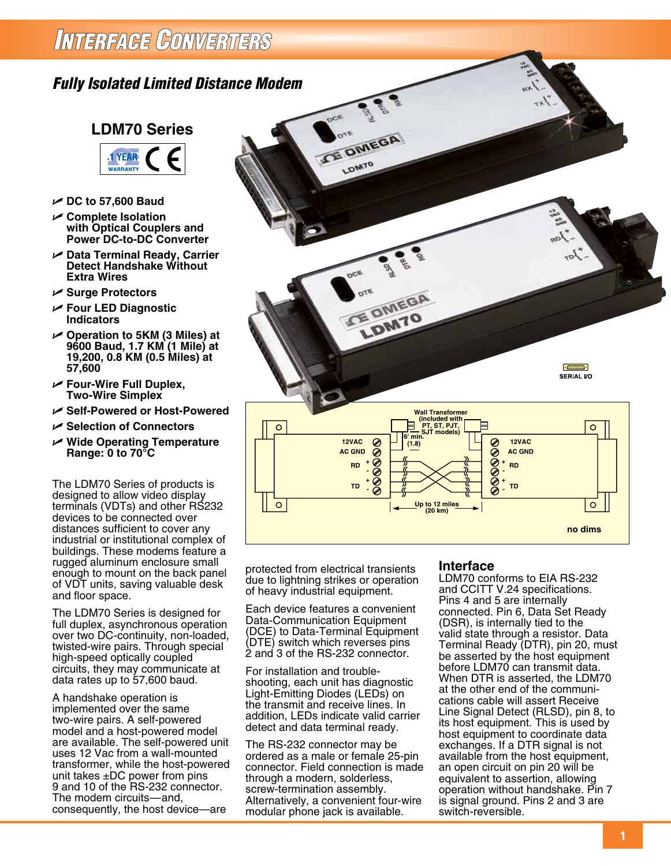## INTERFAGE CONVERTERS

### *Fully Isolated Limited Distance Modem*



- U **DC to 57,600 Baud**
- U **Complete Isolation with Optical Couplers and Power DC-to-DC Converter**
- U **Data Terminal Ready, Carrier Detect Handshake Without Extra Wires**
- U **Surge Protectors**
- U **Four LED Diagnostic Indicators**
- U **Operation to 5KM (3 Miles) at 9600 Baud, 1.7 KM (1 Mile) at 19,200, 0.8 KM (0.5 Miles) at 57,600**
- U **Four-Wire Full Duplex, Two-Wire Simplex**
- U **Self-Powered or Host-Powered**
- U **Selection of Connectors**
- U **Wide Operating Temperature Range: 0 to 70°C**

The LDM70 Series of products is designed to allow video display terminals (VDTs) and other RS232 devices to be connected over distances sufficient to cover any industrial or institutional complex of buildings. These modems feature a rugged aluminum enclosure small enough to mount on the back panel of VDT units, saving valuable desk and floor space.

The LDM70 Series is designed for full duplex, asynchronous operation over two DC-continuity, non-loaded, twisted-wire pairs. Through special high-speed optically coupled circuits, they may communicate at data rates up to 57,600 baud.

A handshake operation is implemented over the same two-wire pairs. A self-powered model and a host-powered model are available. The self-powered unit uses 12 Vac from a wall-mounted transformer, while the host-powered unit takes  $\pm$ DC power from pins 9 and 10 of the RS-232 connector. The modem circuits—and, consequently, the host device—are



protected from electrical transients due to lightning strikes or operation of heavy industrial equipment.

Each device features a convenient Data-Communication Equipment (DCE) to Data-Terminal Equipment (DTE) switch which reverses pins 2 and 3 of the RS-232 connector.

For installation and troubleshooting, each unit has diagnostic Light-Emitting Diodes (LEDs) on the transmit and receive lines. In addition, LEDs indicate valid carrier detect and data terminal ready.

The RS-232 connector may be ordered as a male or female 25-pin connector. Field connection is made through a modern, solderless, screw-termination assembly. Alternatively, a convenient four-wire modular phone jack is available.

#### **Interface**

LDM70 conforms to EIA RS-232 and CCITT V.24 specifications. Pins 4 and 5 are internally connected. Pin 6, Data Set Ready (DSR), is internally tied to the valid state through a resistor. Data Terminal Ready (DTR), pin 20, must be asserted by the host equipment before LDM70 can transmit data. When DTR is asserted, the LDM70 at the other end of the communications cable will assert Receive Line Signal Detect (RLSD), pin 8, to its host equipment. This is used by host equipment to coordinate data exchanges. If a DTR signal is not available from the host equipment, an open circuit on pin 20 will be equivalent to assertion, allowing operation without handshake. Pin 7 is signal ground. Pins 2 and 3 are switch-reversible.

**Dimensions: Inches (mm) no dims**